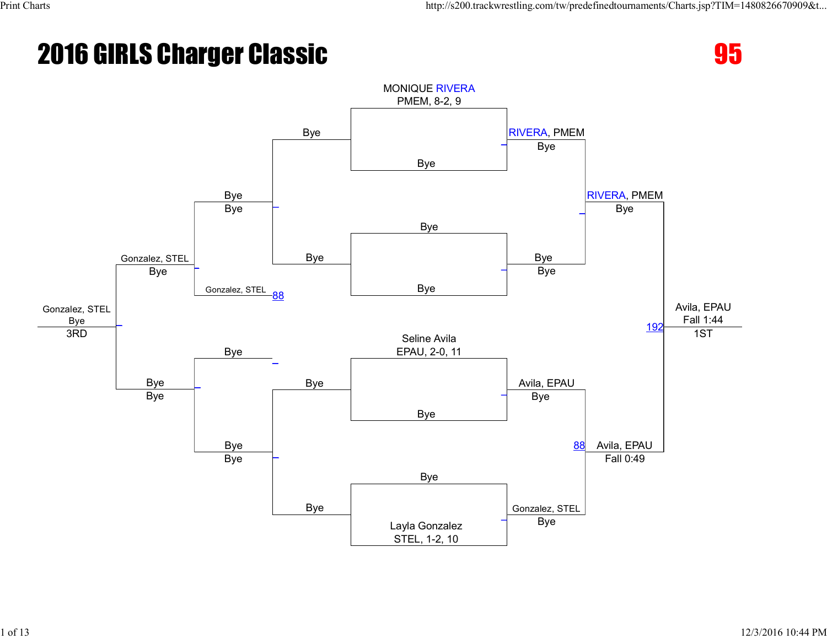### **2016 GIRLS Charger Classic 2016 GIRLS Charger Classic 35**



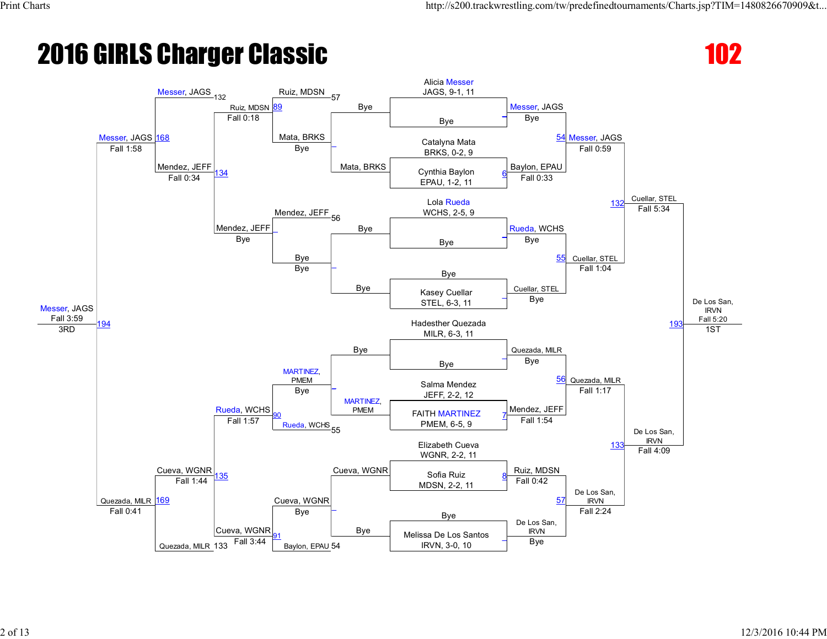

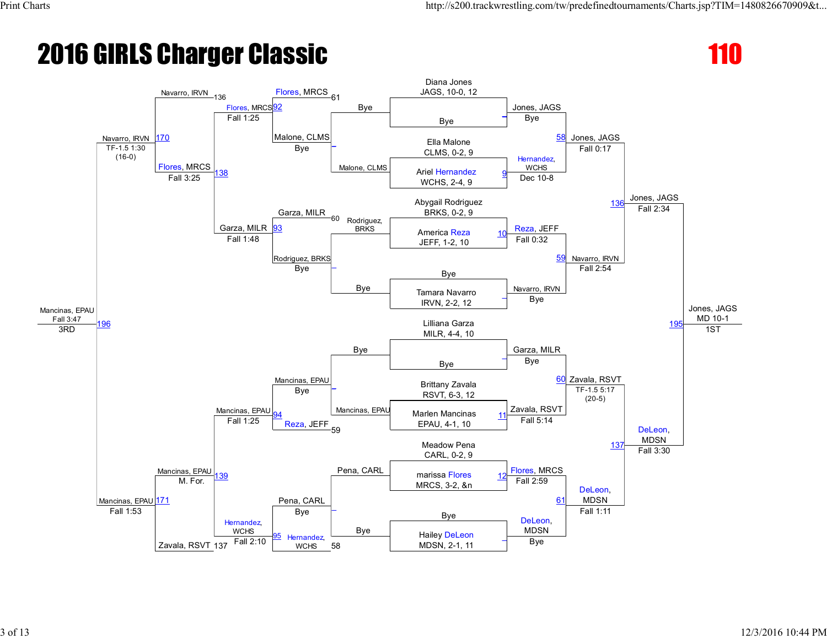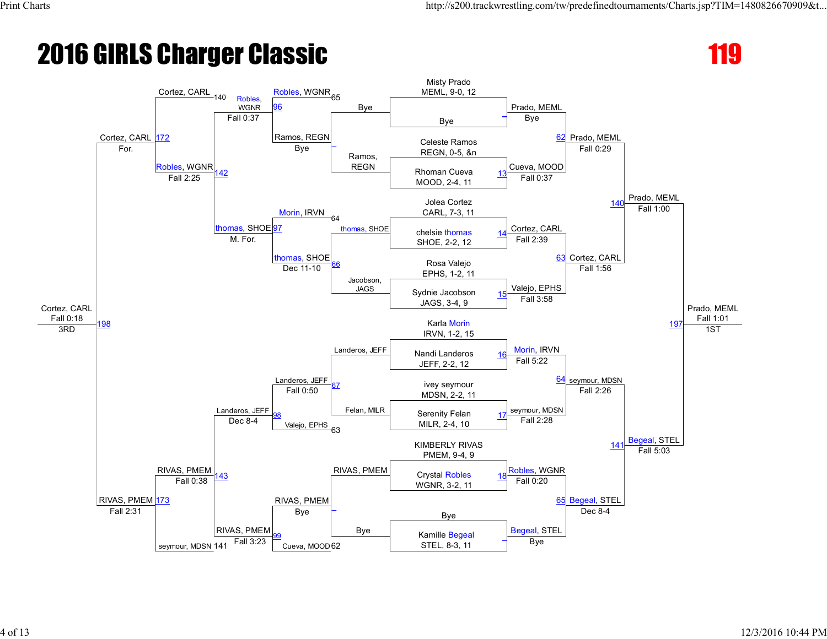### **2016 GIRLS Charger Classic 119 and 2016 GIRLS Charger Classic**

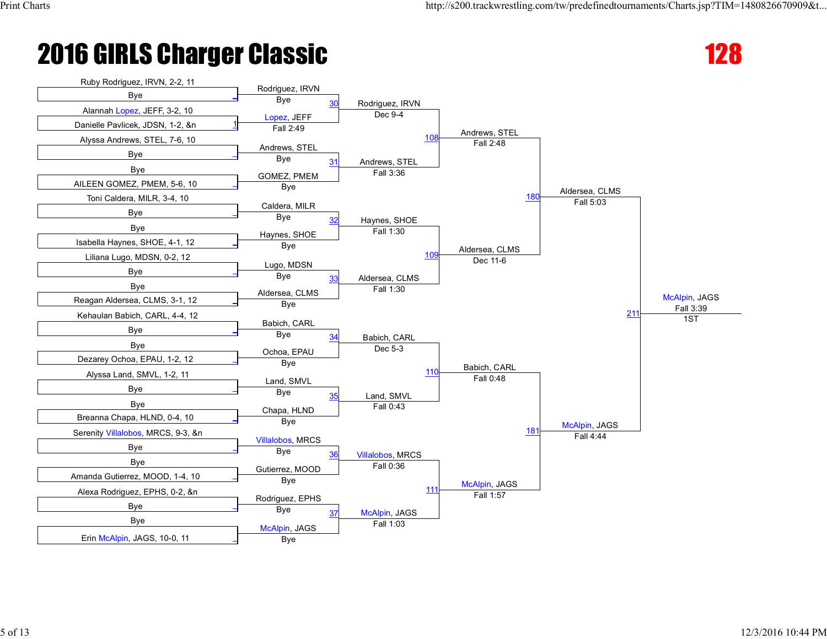## **2016 GIRLS Charger Classic 128 and 2016 GIRLS Charger Classic**



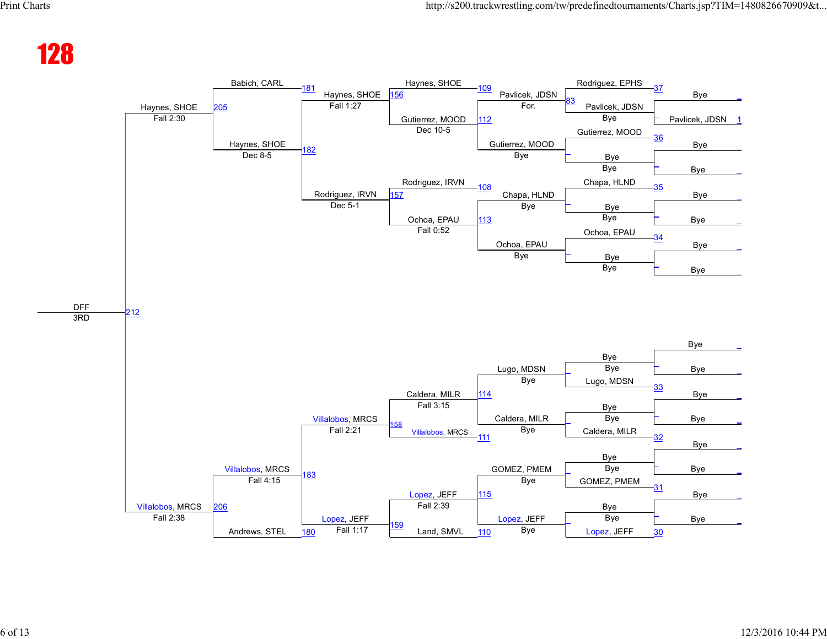### 128

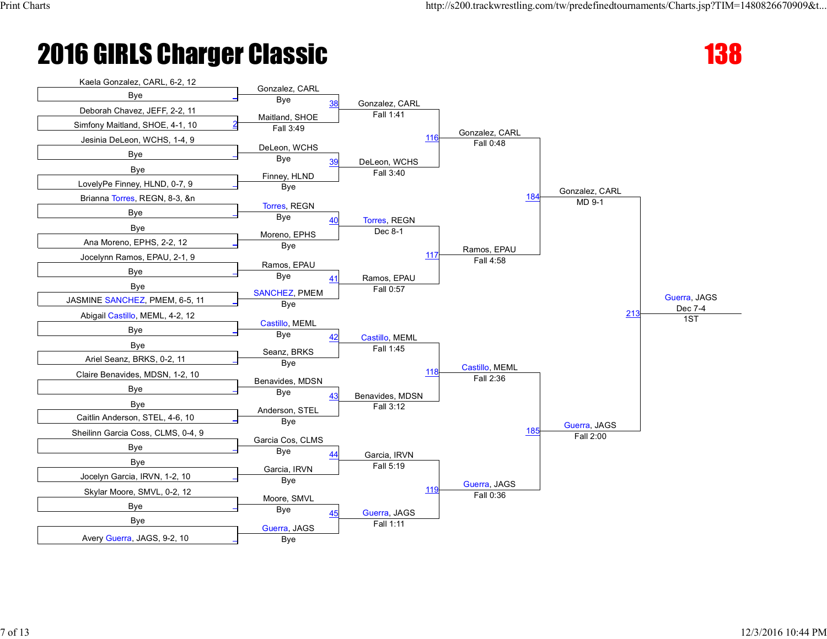

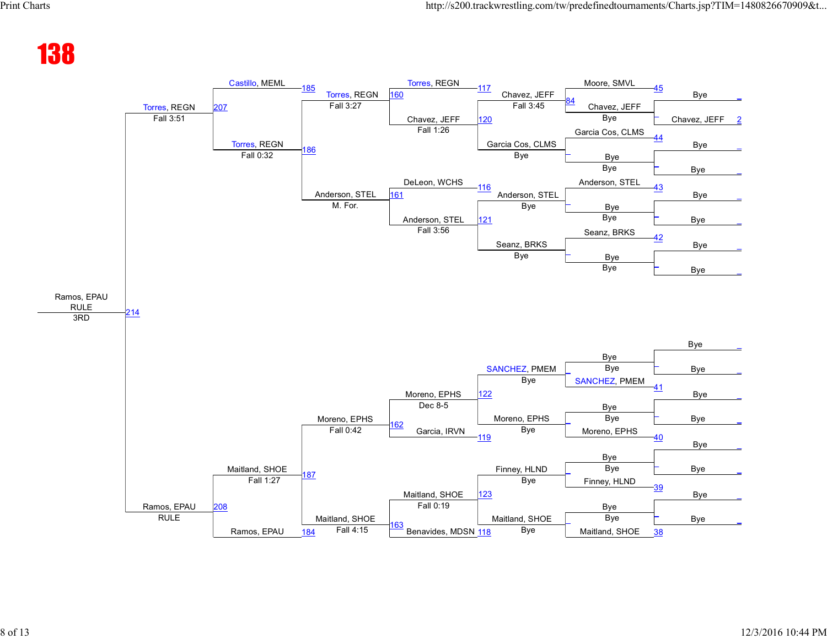#### 138

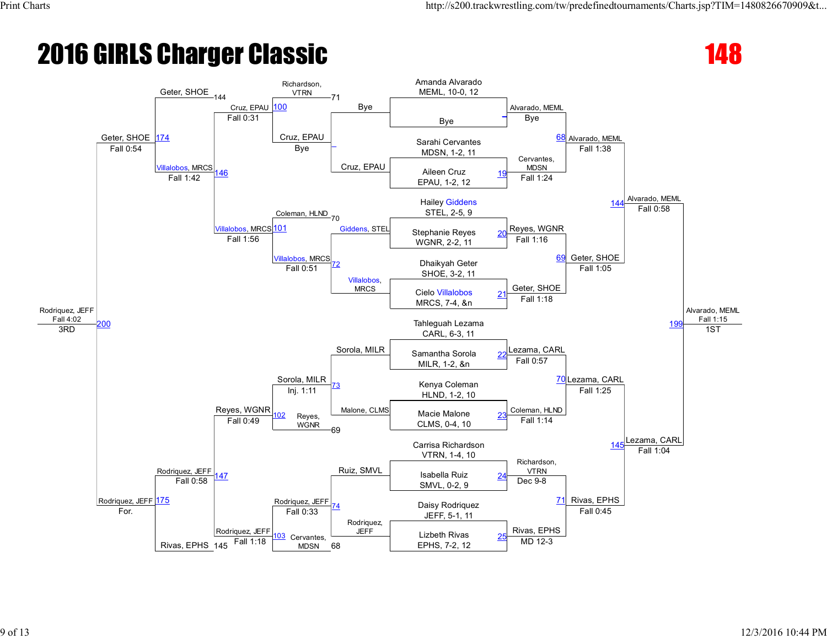

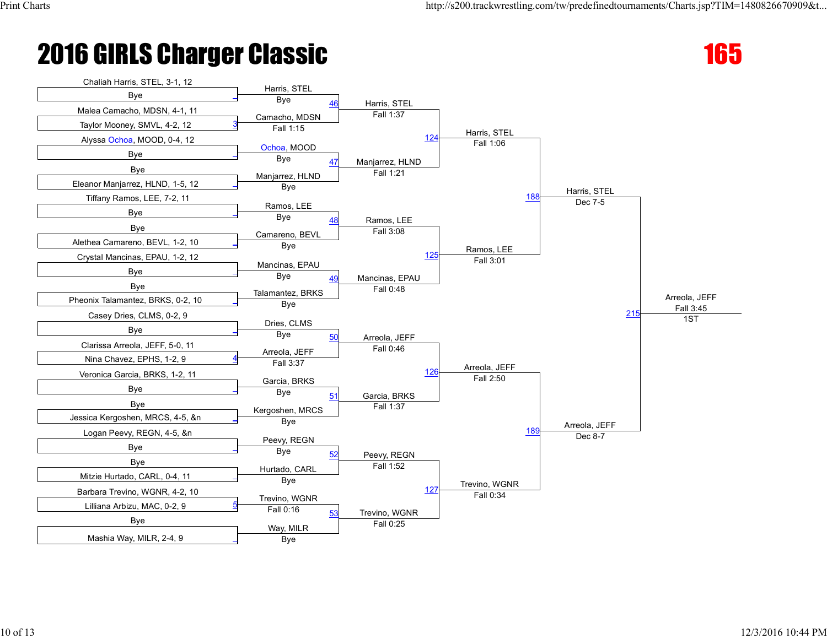## **2016 GIRLS Charger Classic 165 and 2016 GIRLS Charger Classic**



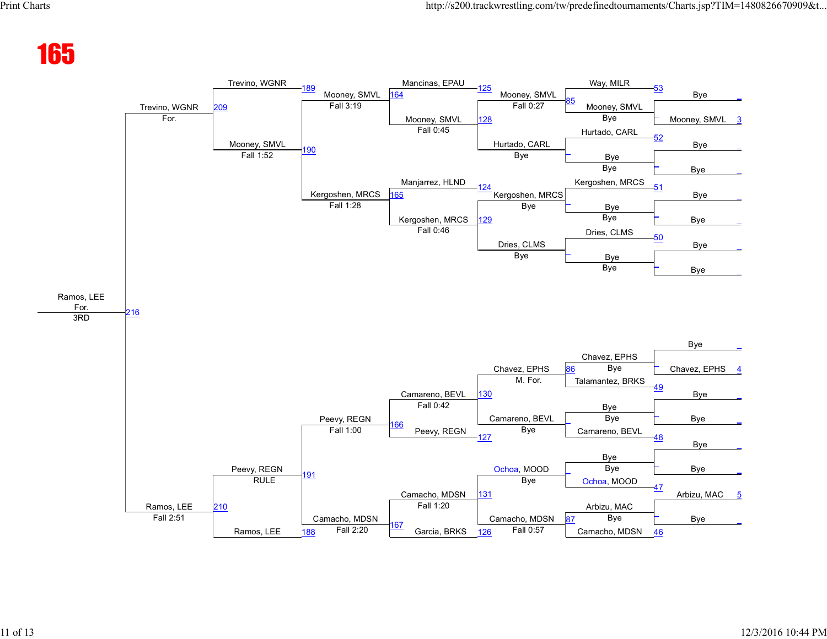#### 165

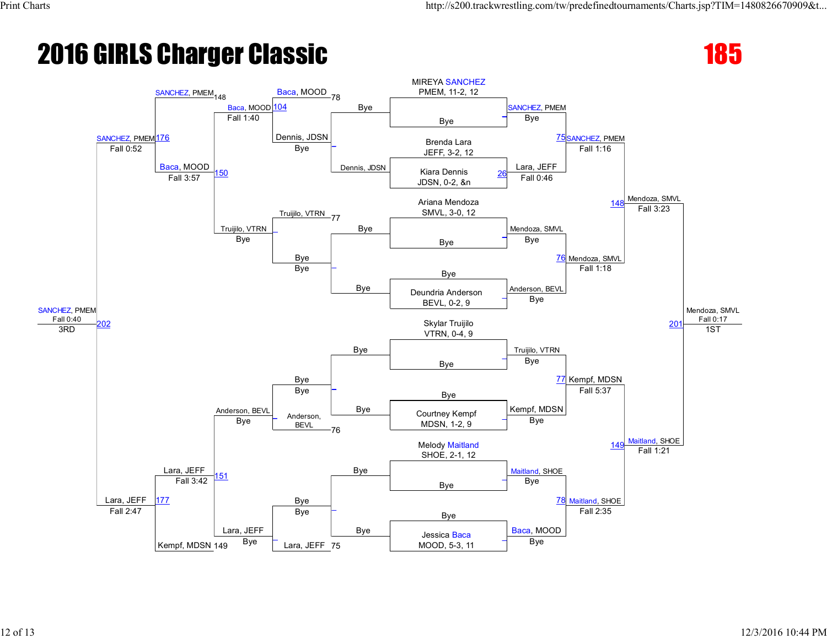### **2016 GIRLS Charger Classic 185 and 2016 GIRLS Charger Classic**